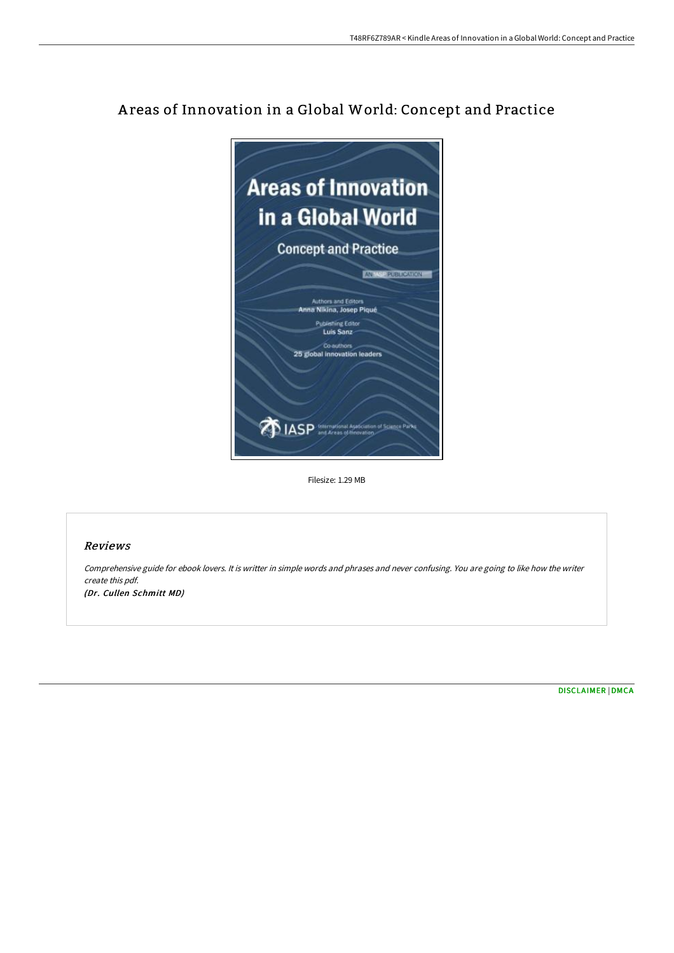

# A reas of Innovation in a Global World: Concept and Practice

Filesize: 1.29 MB

## Reviews

Comprehensive guide for ebook lovers. It is writter in simple words and phrases and never confusing. You are going to like how the writer create this pdf. (Dr. Cullen Schmitt MD)

[DISCLAIMER](http://digilib.live/disclaimer.html) | [DMCA](http://digilib.live/dmca.html)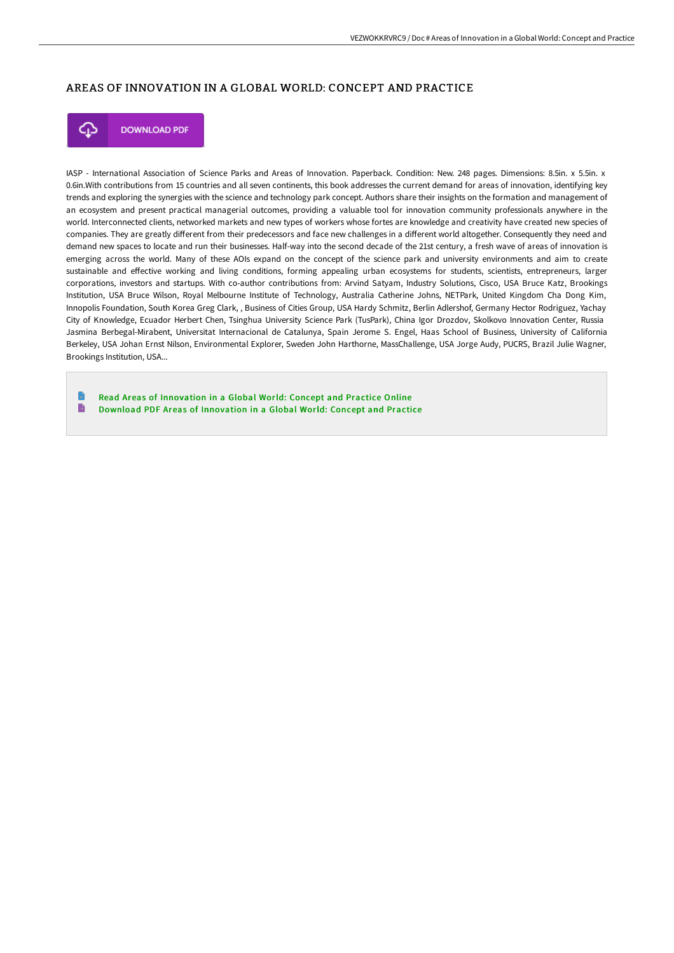## AREAS OF INNOVATION IN A GLOBAL WORLD: CONCEPT AND PRACTICE



**DOWNLOAD PDF** 

IASP - International Association of Science Parks and Areas of Innovation. Paperback. Condition: New. 248 pages. Dimensions: 8.5in. x 5.5in. x 0.6in.With contributions from 15 countries and all seven continents, this book addresses the current demand for areas of innovation, identifying key trends and exploring the synergies with the science and technology park concept. Authors share their insights on the formation and management of an ecosystem and present practical managerial outcomes, providing a valuable tool for innovation community professionals anywhere in the world. Interconnected clients, networked markets and new types of workers whose fortes are knowledge and creativity have created new species of companies. They are greatly different from their predecessors and face new challenges in a different world altogether. Consequently they need and demand new spaces to locate and run their businesses. Half-way into the second decade of the 21st century, a fresh wave of areas of innovation is emerging across the world. Many of these AOIs expand on the concept of the science park and university environments and aim to create sustainable and effective working and living conditions, forming appealing urban ecosystems for students, scientists, entrepreneurs, larger corporations, investors and startups. With co-author contributions from: Arvind Satyam, Industry Solutions, Cisco, USA Bruce Katz, Brookings Institution, USA Bruce Wilson, Royal Melbourne Institute of Technology, Australia Catherine Johns, NETPark, United Kingdom Cha Dong Kim, Innopolis Foundation, South Korea Greg Clark, , Business of Cities Group, USA Hardy Schmitz, Berlin Adlershof, Germany Hector Rodriguez, Yachay City of Knowledge, Ecuador Herbert Chen, Tsinghua University Science Park (TusPark), China Igor Drozdov, Skolkovo Innovation Center, Russia Jasmina Berbegal-Mirabent, Universitat Internacional de Catalunya, Spain Jerome S. Engel, Haas School of Business, University of California Berkeley, USA Johan Ernst Nilson, Environmental Explorer, Sweden John Harthorne, MassChallenge, USA Jorge Audy, PUCRS, Brazil Julie Wagner, Brookings Institution, USA...

Read Areas of [Innovation](http://digilib.live/areas-of-innovation-in-a-global-world-concept-an.html) in a Global World: Concept and Practice Online B Download PDF Areas of [Innovation](http://digilib.live/areas-of-innovation-in-a-global-world-concept-an.html) in a Global World: Concept and Practice